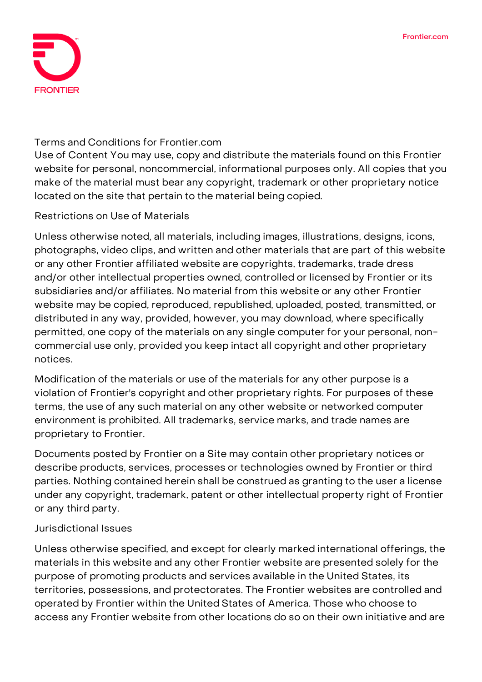

#### **Terms and Conditions for Frontier.com**

Use of Content You may use, copy and distribute the materials found on this Frontier website for personal, noncommercial, informational purposes only. All copies that you make of the material must bear any copyright, trademark or other proprietary notice located on the site that pertain to the material being copied.

# **Restrictions on Use of Materials**

Unless otherwise noted, all materials, including images, illustrations, designs, icons, photographs, video clips, and written and other materials that are part of this website or any other Frontier affiliated website are copyrights, trademarks, trade dress and/or other intellectual properties owned, controlled or licensed by Frontier or its subsidiaries and/or affiliates. No material from this website or any other Frontier website may be copied, reproduced, republished, uploaded, posted, transmitted, or distributed in any way, provided, however, you may download, where specifically permitted, one copy of the materials on any single computer for your personal, noncommercial use only, provided you keep intact all copyright and other proprietary notices.

Modification of the materials or use of the materials for any other purpose is a violation of Frontier's copyright and other proprietary rights. For purposes of these terms, the use of any such material on any other website or networked computer environment is prohibited. All trademarks, service marks, and trade names are proprietary to Frontier.

Documents posted by Frontier on a Site may contain other proprietary notices or describe products, services, processes or technologies owned by Frontier or third parties. Nothing contained herein shall be construed as granting to the user a license under any copyright, trademark, patent or other intellectual property right of Frontier or any third party.

#### **Jurisdictional Issues**

Unless otherwise specified, and except for clearly marked international offerings, the materials in this website and any other Frontier website are presented solely for the purpose of promoting products and services available in the United States, its territories, possessions, and protectorates. The Frontier websites are controlled and operated by Frontier within the United States of America. Those who choose to access any Frontier website from other locations do so on their own initiative and are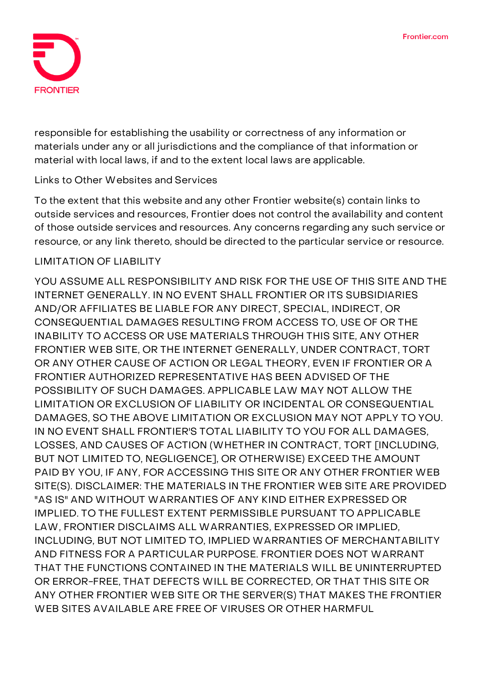

responsible for establishing the usability or correctness of any information or materials under any or all jurisdictions and the compliance of that information or material with local laws, if and to the extent local laws are applicable.

# **Links to Other Websites and Services**

To the extent that this website and any other Frontier website(s) contain links to outside services and resources, Frontier does not control the availability and content of those outside services and resources. Any concerns regarding any such service or resource, or any link thereto, should be directed to the particular service or resource.

#### **LIMITATION OF LIABILITY**

YOU ASSUME ALL RESPONSIBILITY AND RISK FOR THE USE OF THIS SITE AND THE INTERNET GENERALLY. IN NO EVENT SHALL FRONTIER OR ITS SUBSIDIARIES AND/OR AFFILIATES BE LIABLE FOR ANY DIRECT, SPECIAL, INDIRECT, OR CONSEQUENTIAL DAMAGES RESULTING FROM ACCESS TO, USE OF OR THE INABILITY TO ACCESS OR USE MATERIALS THROUGH THIS SITE, ANY OTHER FRONTIER WEB SITE, OR THE INTERNET GENERALLY, UNDER CONTRACT, TORT OR ANY OTHER CAUSE OF ACTION OR LEGAL THEORY, EVEN IF FRONTIER OR A FRONTIER AUTHORIZED REPRESENTATIVE HAS BEEN ADVISED OF THE POSSIBILITY OF SUCH DAMAGES. APPLICABLE LAW MAY NOT ALLOW THE LIMITATION OR EXCLUSION OF LIABILITY OR INCIDENTAL OR CONSEQUENTIAL DAMAGES, SO THE ABOVE LIMITATION OR EXCLUSION MAY NOT APPLY TO YOU. IN NO EVENT SHALL FRONTIER'S TOTAL LIABILITY TO YOU FOR ALL DAMAGES, LOSSES, AND CAUSES OF ACTION (WHETHER IN CONTRACT, TORT [INCLUDING, BUT NOT LIMITED TO, NEGLIGENCE], OR OTHERWISE) EXCEED THE AMOUNT PAID BY YOU, IF ANY, FOR ACCESSING THIS SITE OR ANY OTHER FRONTIER WEB SITE(S). DISCLAIMER: THE MATERIALS IN THE FRONTIER WEB SITE ARE PROVIDED "AS IS" AND WITHOUT WARRANTIES OF ANY KIND EITHER EXPRESSED OR IMPLIED. TO THE FULLEST EXTENT PERMISSIBLE PURSUANT TO APPLICABLE LAW, FRONTIER DISCLAIMS ALL WARRANTIES, EXPRESSED OR IMPLIED, INCLUDING, BUT NOT LIMITED TO, IMPLIED WARRANTIES OF MERCHANTABILITY AND FITNESS FOR A PARTICULAR PURPOSE. FRONTIER DOES NOT WARRANT THAT THE FUNCTIONS CONTAINED IN THE MATERIALS WILL BE UNINTERRUPTED OR ERROR-FREE, THAT DEFECTS WILL BE CORRECTED, OR THAT THIS SITE OR ANY OTHER FRONTIER WEB SITE OR THE SERVER(S) THAT MAKES THE FRONTIER WEB SITES AVAILABLE ARE FREE OF VIRUSES OR OTHER HARMFUL